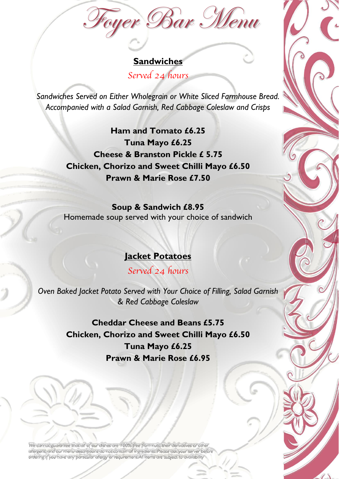Foyer Bar Menu

### **Sandwiches** *Served 24 hours*

*Sandwiches Served on Either Wholegrain or White Sliced Farmhouse Bread. Accompanied with a Salad Garnish, Red Cabbage Coleslaw and Crisps*

> **Ham and Tomato £6.25 Tuna Mayo £6.25 Cheese & Branston Pickle £ 5.75 Chicken, Chorizo and Sweet Chilli Mayo £6.50 Prawn & Marie Rose £7.50**

**Soup & Sandwich £8.95** Homemade soup served with your choice of sandwich

#### **Jacket Potatoes**

*Served 24 hours*

*Oven Baked Jacket Potato Served with Your Choice of Filling, Salad Garnish & Red Cabbage Coleslaw*

> **Cheddar Cheese and Beans £5.75 Chicken, Chorizo and Sweet Chilli Mayo £6.50 Tuna Mayo £6.25 Prawn & Marie Rose £6.95**

We cannot guarantee that all of our dishes are 100% free from nuts, their derivatives or other allergens, and our menu descriptions do not contain all ingredients. Please ask your server before ordering if you have any particular allergy or requirement. All items are subject to availability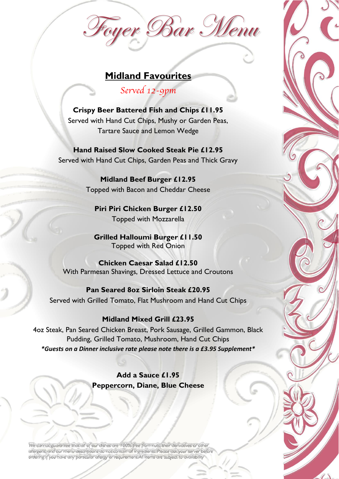# Foyer Bar Menu

## **Midland Favourites**

*Served 12-9pm*

**Crispy Beer Battered Fish and Chips £11.95** Served with Hand Cut Chips, Mushy or Garden Peas, Tartare Sauce and Lemon Wedge

**Hand Raised Slow Cooked Steak Pie £12.95** Served with Hand Cut Chips, Garden Peas and Thick Gravy

> **Midland Beef Burger £12.95** Topped with Bacon and Cheddar Cheese

**Piri Piri Chicken Burger £12.50** Topped with Mozzarella

**Grilled Halloumi Burger £11.50** Topped with Red Onion

**Chicken Caesar Salad £12.50** With Parmesan Shavings, Dressed Lettuce and Croutons

**Pan Seared 8oz Sirloin Steak £20.95** Served with Grilled Tomato, Flat Mushroom and Hand Cut Chips

#### **Midland Mixed Grill £23.95**

4oz Steak, Pan Seared Chicken Breast, Pork Sausage, Grilled Gammon, Black Pudding, Grilled Tomato, Mushroom, Hand Cut Chips *\*Guests on a Dinner inclusive rate please note there is a £3.95 Supplement\**

> **Add a Sauce £1.95 Peppercorn, Diane, Blue Cheese**

We cannot guarantee that all of our dishes are 100% free from nuts, their derivatives or other allergens, and our menu descriptions do not contain all ingredients. Please ask your server before ordering if you have any particular allergy or requirement. All items are subject to availability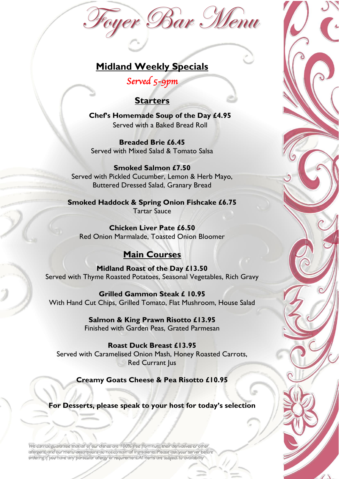# Foyer Bar Menu

# **Midland Weekly Specials**

*Served 5-9pm* 

#### **Starters**

**Chef's Homemade Soup of the Day £4.95** Served with a Baked Bread Roll

**Breaded Brie £6.45** Served with Mixed Salad & Tomato Salsa

**Smoked Salmon £7.50** Served with Pickled Cucumber, Lemon & Herb Mayo, Buttered Dressed Salad, Granary Bread

**Smoked Haddock & Spring Onion Fishcake £6.75** Tartar Sauce

**Chicken Liver Pate £6.50** Red Onion Marmalade, Toasted Onion Bloomer

# **Main Courses**

**Midland Roast of the Day £13.50** Served with Thyme Roasted Potatoes, Seasonal Vegetables, Rich Gravy

**Grilled Gammon Steak £ 10.95** With Hand Cut Chips, Grilled Tomato, Flat Mushroom, House Salad

> **Salmon & King Prawn Risotto £13.95** Finished with Garden Peas, Grated Parmesan

**Roast Duck Breast £13.95** Served with Caramelised Onion Mash, Honey Roasted Carrots, Red Currant Jus

**Creamy Goats Cheese & Pea Risotto £10.95**

**For Desserts, please speak to your host for today's selection**

We cannot guarantee that all of our dishes are 100% free from nuts, their derivatives or other allergens, and our menu descriptions do not contain all ingredients. Please ask your server before ordering if you have any particular allergy or requirement. All items are subject to availability